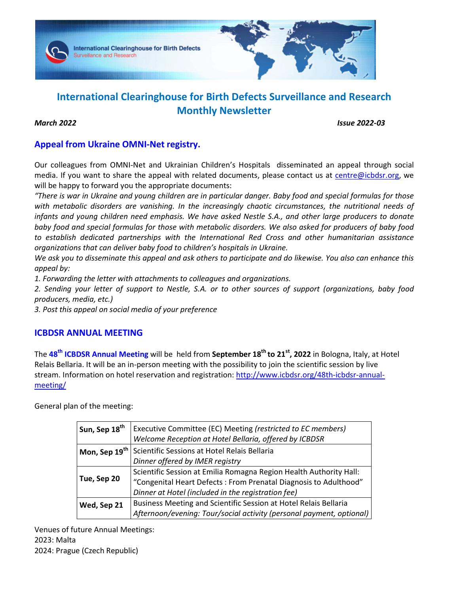

# **International Clearinghouse for Birth Defects Surveillance and Research Monthly Newsletter**

*March 2022 Issue 2022-03* 

## **Appeal from Ukraine OMNI-Net registry.**

Our colleagues from OMNI-Net and Ukrainian Children's Hospitals disseminated an appeal through social media. If you want to share the appeal with related documents, please contact us at centre@icbdsr.org, we will be happy to forward you the appropriate documents:

*"There is war in Ukraine and young children are in particular danger. Baby food and special formulas for those with metabolic disorders are vanishing. In the increasingly chaotic circumstances, the nutritional needs of infants and young children need emphasis. We have asked Nestle S.A., and other large producers to donate baby food and special formulas for those with metabolic disorders. We also asked for producers of baby food to establish dedicated partnerships with the International Red Cross and other humanitarian assistance organizations that can deliver baby food to children's hospitals in Ukraine.* 

*We ask you to disseminate this appeal and ask others to participate and do likewise. You also can enhance this appeal by:* 

*1. Forwarding the letter with attachments to colleagues and organizations.* 

*2. Sending your letter of support to Nestle, S.A. or to other sources of support (organizations, baby food producers, media, etc.)* 

*3. Post this appeal on social media of your preference* 

## **ICBDSR ANNUAL MEETING**

The **48th ICBDSR Annual Meeting** will be held from **September 18th to 21st, 2022** in Bologna, Italy, at Hotel Relais Bellaria. It will be an in-person meeting with the possibility to join the scientific session by live stream. Information on hotel reservation and registration: http://www.icbdsr.org/48th-icbdsr-annualmeeting/

General plan of the meeting:

| Sun, Sep 18 <sup>th</sup> | Executive Committee (EC) Meeting (restricted to EC members)          |
|---------------------------|----------------------------------------------------------------------|
|                           | Welcome Reception at Hotel Bellaria, offered by ICBDSR               |
| Mon, Sep 19 <sup>th</sup> | Scientific Sessions at Hotel Relais Bellaria                         |
|                           | Dinner offered by IMER registry                                      |
| Tue, Sep 20               | Scientific Session at Emilia Romagna Region Health Authority Hall:   |
|                           | "Congenital Heart Defects: From Prenatal Diagnosis to Adulthood"     |
|                           | Dinner at Hotel (included in the registration fee)                   |
| Wed, Sep 21               | Business Meeting and Scientific Session at Hotel Relais Bellaria     |
|                           | Afternoon/evening: Tour/social activity (personal payment, optional) |

Venues of future Annual Meetings: 2023: Malta 2024: Prague (Czech Republic)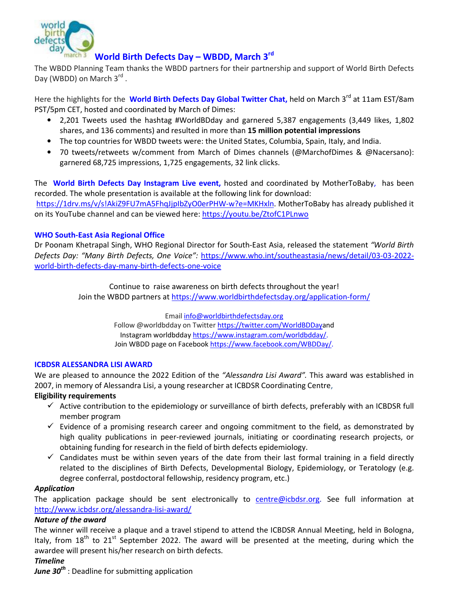

## **World Birth Defects Day – WBDD, March 3rd**

The WBDD Planning Team thanks the WBDD partners for their partnership and support of World Birth Defects Day (WBDD) on March 3rd.

Here the highlights for the **World Birth Defects Day Global Twitter Chat**, held on March 3<sup>rd</sup> at 11am EST/8am PST/5pm CET, hosted and coordinated by March of Dimes:

- 2,201 Tweets used the hashtag #WorldBDday and garnered 5,387 engagements (3,449 likes, 1,802 shares, and 136 comments) and resulted in more than **15 million potential impressions**
- The top countries for WBDD tweets were: the United States, Columbia, Spain, Italy, and India.
- 70 tweets/retweets w/comment from March of Dimes channels (@MarchofDimes & @Nacersano): garnered 68,725 impressions, 1,725 engagements, 32 link clicks.

The **World Birth Defects Day Instagram Live event,** hosted and coordinated by MotherToBaby, has been recorded. The whole presentation is available at the following link for download:

https://1drv.ms/v/s!AkiZ9FU7mA5FhqJjpIbZyO0erPHW-w?e=MKHxln. MotherToBaby has already published it on its YouTube channel and can be viewed here: https://youtu.be/ZtofC1PLnwo

## **WHO South-East Asia Regional Office**

Dr Poonam Khetrapal Singh, WHO Regional Director for South-East Asia, released the statement *"World Birth Defects Day: "Many Birth Defects, One Voice":* https://www.who.int/southeastasia/news/detail/03-03-2022 world-birth-defects-day-many-birth-defects-one-voice

> Continue to raise awareness on birth defects throughout the year! Join the WBDD partners at https://www.worldbirthdefectsday.org/application-form/

> > Email info@worldbirthdefectsday.org Follow @worldbdday on Twitter https://twitter.com/WorldBDDayand Instagram worldbdday https://www.instagram.com/worldbdday/. Join WBDD page on Facebook https://www.facebook.com/WBDDay/.

## **ICBDSR ALESSANDRA LISI AWARD**

We are pleased to announce the 2022 Edition of the *"Alessandra Lisi Award".* This award was established in 2007, in memory of Alessandra Lisi, a young researcher at ICBDSR Coordinating Centre,

## **Eligibility requirements**

- $\checkmark$  Active contribution to the epidemiology or surveillance of birth defects, preferably with an ICBDSR full member program
- $\checkmark$  Evidence of a promising research career and ongoing commitment to the field, as demonstrated by high quality publications in peer-reviewed journals, initiating or coordinating research projects, or obtaining funding for research in the field of birth defects epidemiology.
- $\checkmark$  Candidates must be within seven years of the date from their last formal training in a field directly related to the disciplines of Birth Defects, Developmental Biology, Epidemiology, or Teratology (e.g. degree conferral, postdoctoral fellowship, residency program, etc.)

## *Application*

The application package should be sent electronically to centre@icbdsr.org. See full information at http://www.icbdsr.org/alessandra-lisi-award/

## *Nature of the award*

The winner will receive a plaque and a travel stipend to attend the ICBDSR Annual Meeting, held in Bologna, Italy, from  $18<sup>th</sup>$  to  $21<sup>st</sup>$  September 2022. The award will be presented at the meeting, during which the awardee will present his/her research on birth defects.

## *Timeline*

*June 30th* : Deadline for submitting application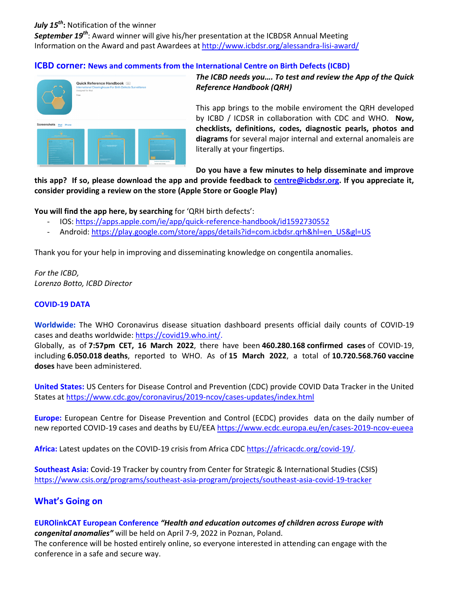## *July 15th***:** Notification of the winner

*September 19th*: Award winner will give his/her presentation at the ICBDSR Annual Meeting Information on the Award and past Awardees at http://www.icbdsr.org/alessandra-lisi-award/

## **ICBD corner: News and comments from the International Centre on Birth Defects (ICBD)**



*The ICBD needs you…. To test and review the App of the Quick Reference Handbook (QRH)*

This app brings to the mobile enviroment the QRH developed by ICBD / ICDSR in collaboration with CDC and WHO. **Now, checklists, definitions, codes, diagnostic pearls, photos and diagrams** for several major internal and external anomaleis are literally at your fingertips.

**Do you have a few minutes to help disseminate and improve** 

**this app? If so, please download the app and provide feedback to centre@icbdsr.org. If you appreciate it, consider providing a review on the store (Apple Store or Google Play)** 

**You will find the app here, by searching** for 'QRH birth defects':

- IOS: https://apps.apple.com/ie/app/quick-reference-handbook/id1592730552
- Android: https://play.google.com/store/apps/details?id=com.icbdsr.qrh&hl=en\_US&gl=US

Thank you for your help in improving and disseminating knowledge on congentila anomalies.

*For the ICBD, Lorenzo Botto, ICBD Director* 

## **COVID-19 DATA**

**Worldwide:** The WHO Coronavirus disease situation dashboard presents official daily counts of COVID-19 cases and deaths worldwide: https://covid19.who.int/.

Globally, as of **7:57pm CET, 16 March 2022**, there have been **460.280.168 confirmed cases** of COVID-19, including **6.050.018 deaths**, reported to WHO. As of **15 March 2022**, a total of **10.720.568.760 vaccine doses** have been administered.

**United States:** US Centers for Disease Control and Prevention (CDC) provide COVID Data Tracker in the United States at https://www.cdc.gov/coronavirus/2019-ncov/cases-updates/index.html

**Europe:** European Centre for Disease Prevention and Control (ECDC) provides data on the daily number of new reported COVID-19 cases and deaths by EU/EEA https://www.ecdc.europa.eu/en/cases-2019-ncov-eueea

**Africa:** Latest updates on the COVID-19 crisis from Africa CDC https://africacdc.org/covid-19/.

**Southeast Asia:** Covid-19 Tracker by country from Center for Strategic & International Studies (CSIS) https://www.csis.org/programs/southeast-asia-program/projects/southeast-asia-covid-19-tracker

## **What's Going on**

### **EUROlinkCAT European Conference** *"Health and education outcomes of children across Europe with congenital anomalies"* will be held on April 7-9, 2022 in Poznan, Poland.

The conference will be hosted entirely online, so everyone interested in attending can engage with the conference in a safe and secure way.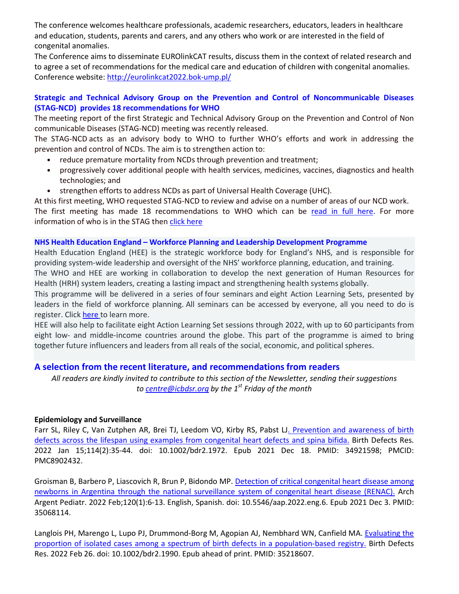The conference welcomes healthcare professionals, academic researchers, educators, leaders in healthcare and education, students, parents and carers, and any others who work or are interested in the field of congenital anomalies.

The Conference aims to disseminate EUROlinkCAT results, discuss them in the context of related research and to agree a set of recommendations for the medical care and education of children with congenital anomalies. Conference website: http://eurolinkcat2022.bok-ump.pl/

## **Strategic and Technical Advisory Group on the Prevention and Control of Noncommunicable Diseases (STAG-NCD) provides 18 recommendations for WHO**

The meeting report of the first Strategic and Technical Advisory Group on the Prevention and Control of Non communicable Diseases (STAG-NCD) meeting was recently released.

The STAG-NCD acts as an advisory body to WHO to further WHO's efforts and work in addressing the prevention and control of NCDs. The aim is to strengthen action to:

- reduce premature mortality from NCDs through prevention and treatment;
- progressively cover additional people with health services, medicines, vaccines, diagnostics and health technologies; and
- strengthen efforts to address NCDs as part of Universal Health Coverage (UHC).

At this first meeting, WHO requested STAG-NCD to review and advise on a number of areas of our NCD work.

The first meeting has made 18 recommendations to WHO which can be read in full here. For more information of who is in the STAG then click here

#### **NHS Health Education England – Workforce Planning and Leadership Development Programme**

Health Education England (HEE) is the strategic workforce body for England's NHS, and is responsible for providing system-wide leadership and oversight of the NHS' workforce planning, education, and training.

The WHO and HEE are working in collaboration to develop the next generation of Human Resources for Health (HRH) system leaders, creating a lasting impact and strengthening health systems globally.

This programme will be delivered in a series of four seminars and eight Action Learning Sets, presented by leaders in the field of workforce planning. All seminars can be accessed by everyone, all you need to do is register. Click here to learn more.

HEE will also help to facilitate eight Action Learning Set sessions through 2022, with up to 60 participants from eight low- and middle-income countries around the globe. This part of the programme is aimed to bring together future influencers and leaders from all reals of the social, economic, and political spheres.

## **A selection from the recent literature, and recommendations from readers**

*All readers are kindly invited to contribute to this section of the Newsletter, sending their suggestions to centre@icbdsr.org by the 1st Friday of the month*

#### **Epidemiology and Surveillance**

Farr SL, Riley C, Van Zutphen AR, Brei TJ, Leedom VO, Kirby RS, Pabst LJ. Prevention and awareness of birth defects across the lifespan using examples from congenital heart defects and spina bifida. Birth Defects Res. 2022 Jan 15;114(2):35-44. doi: 10.1002/bdr2.1972. Epub 2021 Dec 18. PMID: 34921598; PMCID: PMC8902432.

Groisman B, Barbero P, Liascovich R, Brun P, Bidondo MP. Detection of critical congenital heart disease among newborns in Argentina through the national surveillance system of congenital heart disease (RENAC). Arch Argent Pediatr. 2022 Feb;120(1):6-13. English, Spanish. doi: 10.5546/aap.2022.eng.6. Epub 2021 Dec 3. PMID: 35068114.

Langlois PH, Marengo L, Lupo PJ, Drummond-Borg M, Agopian AJ, Nembhard WN, Canfield MA. Evaluating the proportion of isolated cases among a spectrum of birth defects in a population-based registry. Birth Defects Res. 2022 Feb 26. doi: 10.1002/bdr2.1990. Epub ahead of print. PMID: 35218607.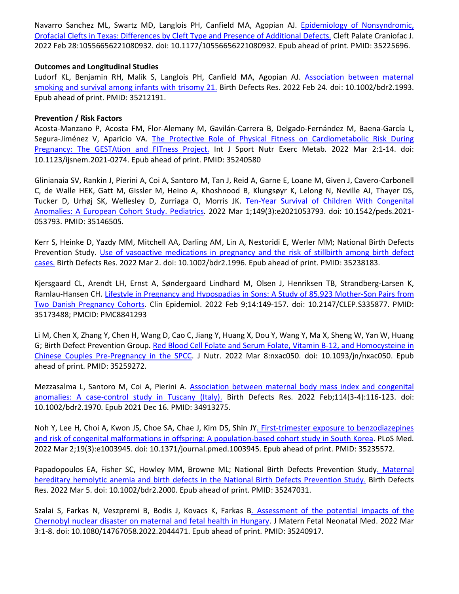Navarro Sanchez ML, Swartz MD, Langlois PH, Canfield MA, Agopian AJ. Epidemiology of Nonsyndromic, Orofacial Clefts in Texas: Differences by Cleft Type and Presence of Additional Defects. Cleft Palate Craniofac J. 2022 Feb 28:10556656221080932. doi: 10.1177/10556656221080932. Epub ahead of print. PMID: 35225696.

### **Outcomes and Longitudinal Studies**

Ludorf KL, Benjamin RH, Malik S, Langlois PH, Canfield MA, Agopian AJ. Association between maternal smoking and survival among infants with trisomy 21. Birth Defects Res. 2022 Feb 24. doi: 10.1002/bdr2.1993. Epub ahead of print. PMID: 35212191.

### **Prevention / Risk Factors**

Acosta-Manzano P, Acosta FM, Flor-Alemany M, Gavilán-Carrera B, Delgado-Fernández M, Baena-García L, Segura-Jiménez V, Aparicio VA. The Protective Role of Physical Fitness on Cardiometabolic Risk During Pregnancy: The GESTAtion and FITness Project. Int J Sport Nutr Exerc Metab. 2022 Mar 2:1-14. doi: 10.1123/ijsnem.2021-0274. Epub ahead of print. PMID: 35240580

Glinianaia SV, Rankin J, Pierini A, Coi A, Santoro M, Tan J, Reid A, Garne E, Loane M, Given J, Cavero-Carbonell C, de Walle HEK, Gatt M, Gissler M, Heino A, Khoshnood B, Klungsøyr K, Lelong N, Neville AJ, Thayer DS, Tucker D, Urhøj SK, Wellesley D, Zurriaga O, Morris JK. Ten-Year Survival of Children With Congenital Anomalies: A European Cohort Study. Pediatrics. 2022 Mar 1;149(3):e2021053793. doi: 10.1542/peds.2021- 053793. PMID: 35146505.

Kerr S, Heinke D, Yazdy MM, Mitchell AA, Darling AM, Lin A, Nestoridi E, Werler MM; National Birth Defects Prevention Study. Use of vasoactive medications in pregnancy and the risk of stillbirth among birth defect cases. Birth Defects Res. 2022 Mar 2. doi: 10.1002/bdr2.1996. Epub ahead of print. PMID: 35238183.

Kjersgaard CL, Arendt LH, Ernst A, Søndergaard Lindhard M, Olsen J, Henriksen TB, Strandberg-Larsen K, Ramlau-Hansen CH. Lifestyle in Pregnancy and Hypospadias in Sons: A Study of 85,923 Mother-Son Pairs from Two Danish Pregnancy Cohorts. Clin Epidemiol. 2022 Feb 9;14:149-157. doi: 10.2147/CLEP.S335877. PMID: 35173488; PMCID: PMC8841293

Li M, Chen X, Zhang Y, Chen H, Wang D, Cao C, Jiang Y, Huang X, Dou Y, Wang Y, Ma X, Sheng W, Yan W, Huang G; Birth Defect Prevention Group. Red Blood Cell Folate and Serum Folate, Vitamin B-12, and Homocysteine in Chinese Couples Pre-Pregnancy in the SPCC. J Nutr. 2022 Mar 8:nxac050. doi: 10.1093/jn/nxac050. Epub ahead of print. PMID: 35259272.

Mezzasalma L, Santoro M, Coi A, Pierini A. Association between maternal body mass index and congenital anomalies: A\_case-control study in Tuscany (Italy). Birth Defects Res. 2022 Feb;114(3-4):116-123. doi: 10.1002/bdr2.1970. Epub 2021 Dec 16. PMID: 34913275.

Noh Y, Lee H, Choi A, Kwon JS, Choe SA, Chae J, Kim DS, Shin JY. First-trimester exposure to benzodiazepines and risk of congenital malformations in offspring: A population-based cohort study in South Korea. PLoS Med. 2022 Mar 2;19(3):e1003945. doi: 10.1371/journal.pmed.1003945. Epub ahead of print. PMID: 35235572.

Papadopoulos EA, Fisher SC, Howley MM, Browne ML; National Birth Defects Prevention Study. Maternal hereditary hemolytic anemia and birth defects in the National Birth Defects Prevention Study. Birth Defects Res. 2022 Mar 5. doi: 10.1002/bdr2.2000. Epub ahead of print. PMID: 35247031.

Szalai S, Farkas N, Veszpremi B, Bodis J, Kovacs K, Farkas B. Assessment of the potential impacts of the Chernobyl nuclear disaster on maternal and fetal health in Hungary. J Matern Fetal Neonatal Med. 2022 Mar 3:1-8. doi: 10.1080/14767058.2022.2044471. Epub ahead of print. PMID: 35240917.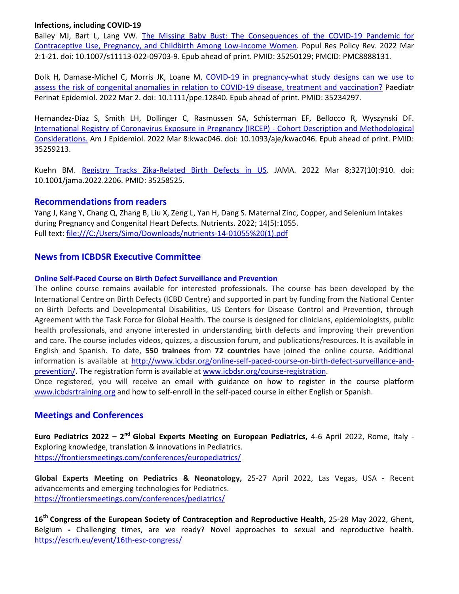### **Infections, including COVID-19**

Bailey MJ, Bart L, Lang VW. The Missing Baby Bust: The Consequences of the COVID-19 Pandemic for Contraceptive Use, Pregnancy, and Childbirth Among Low-Income Women. Popul Res Policy Rev. 2022 Mar 2:1-21. doi: 10.1007/s11113-022-09703-9. Epub ahead of print. PMID: 35250129; PMCID: PMC8888131.

Dolk H, Damase-Michel C, Morris JK, Loane M. COVID-19 in pregnancy-what study designs can we use to assess the risk of congenital anomalies in relation to COVID-19 disease, treatment and vaccination? Paediatr Perinat Epidemiol. 2022 Mar 2. doi: 10.1111/ppe.12840. Epub ahead of print. PMID: 35234297.

Hernandez-Diaz S, Smith LH, Dollinger C, Rasmussen SA, Schisterman EF, Bellocco R, Wyszynski DF. International Registry of Coronavirus Exposure in Pregnancy (IRCEP) - Cohort Description and Methodological Considerations. Am J Epidemiol. 2022 Mar 8:kwac046. doi: 10.1093/aje/kwac046. Epub ahead of print. PMID: 35259213.

Kuehn BM. Registry Tracks Zika-Related Birth Defects in US. JAMA. 2022 Mar 8;327(10):910. doi: 10.1001/jama.2022.2206. PMID: 35258525.

## **Recommendations from readers**

Yang J, Kang Y, Chang Q, Zhang B, Liu X, Zeng L, Yan H, Dang S. Maternal Zinc, Copper, and Selenium Intakes during Pregnancy and Congenital Heart Defects. Nutrients. 2022; 14(5):1055. Full text: file:///C:/Users/Simo/Downloads/nutrients-14-01055%20(1).pdf

## **News from ICBDSR Executive Committee**

## **Online Self-Paced Course on Birth Defect Surveillance and Prevention**

The online course remains available for interested professionals. The course has been developed by the International Centre on Birth Defects (ICBD Centre) and supported in part by funding from the National Center on Birth Defects and Developmental Disabilities, US Centers for Disease Control and Prevention, through Agreement with the Task Force for Global Health. The course is designed for clinicians, epidemiologists, public health professionals, and anyone interested in understanding birth defects and improving their prevention and care. The course includes videos, quizzes, a discussion forum, and publications/resources. It is available in English and Spanish. To date, **550 trainees** from **72 countries** have joined the online course. Additional information is available at http://www.icbdsr.org/online-self-paced-course-on-birth-defect-surveillance-andprevention/. The registration form is available at www.icbdsr.org/course-registration.

Once registered, you will receive an email with guidance on how to register in the course platform www.icbdsrtraining.org and how to self-enroll in the self-paced course in either English or Spanish.

## **Meetings and Conferences**

**Euro Pediatrics 2022 – 2nd Global Experts Meeting on European Pediatrics,** 4-6 April 2022, Rome, Italy - Exploring knowledge, translation & innovations in Pediatrics. https://frontiersmeetings.com/conferences/europediatrics/

**Global Experts Meeting on Pediatrics & Neonatology,** 25-27 April 2022, Las Vegas, USA **-** Recent advancements and emerging technologies for Pediatrics. https://frontiersmeetings.com/conferences/pediatrics/

**16th Congress of the European Society of Contraception and Reproductive Health,** 25-28 May 2022, Ghent, Belgium **-** Challenging times, are we ready? Novel approaches to sexual and reproductive health. https://escrh.eu/event/16th-esc-congress/